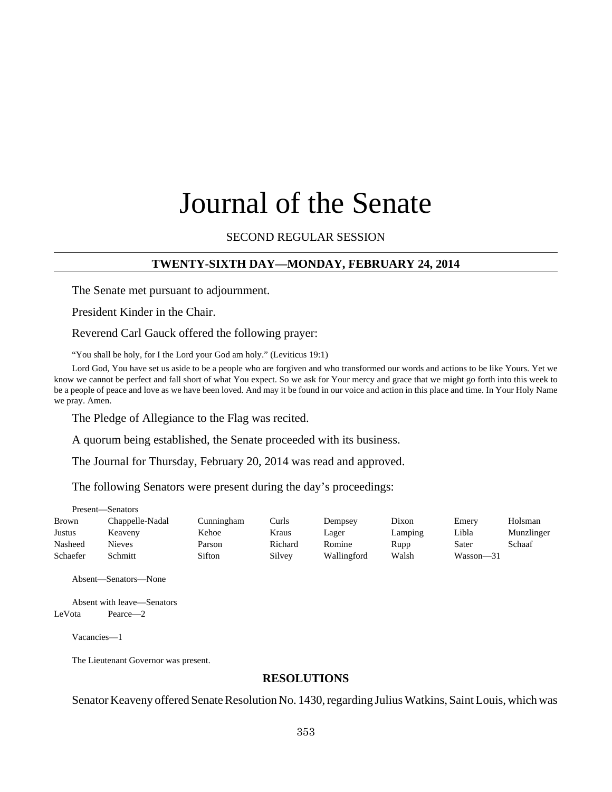# Journal of the Senate

SECOND REGULAR SESSION

## **TWENTY-SIXTH DAY—MONDAY, FEBRUARY 24, 2014**

The Senate met pursuant to adjournment.

President Kinder in the Chair.

Reverend Carl Gauck offered the following prayer:

"You shall be holy, for I the Lord your God am holy." (Leviticus 19:1)

Lord God, You have set us aside to be a people who are forgiven and who transformed our words and actions to be like Yours. Yet we know we cannot be perfect and fall short of what You expect. So we ask for Your mercy and grace that we might go forth into this week to be a people of peace and love as we have been loved. And may it be found in our voice and action in this place and time. In Your Holy Name we pray. Amen.

The Pledge of Allegiance to the Flag was recited.

A quorum being established, the Senate proceeded with its business.

The Journal for Thursday, February 20, 2014 was read and approved.

The following Senators were present during the day's proceedings:

|          | 1 IUSUIN — DUIRUUIS- |            |         |             |         |           |            |
|----------|----------------------|------------|---------|-------------|---------|-----------|------------|
| Brown    | Chappelle-Nadal      | Cunningham | Curls   | Dempsey     | Dixon   | Emery     | Holsman    |
| Justus   | Keaveny              | Kehoe      | Kraus   | Lager       | Lamping | Libla     | Munzlinger |
| Nasheed  | Nieves               | Parson     | Richard | Romine      | Rupp    | Sater     | Schaaf     |
| Schaefer | Schmitt              | Sifton     | Silvey  | Wallingford | Walsh   | Wasson-31 |            |

Absent—Senators—None

Present—Senators

Absent with leave—Senators LeVota Pearce—2

Vacancies—1

The Lieutenant Governor was present.

#### **RESOLUTIONS**

Senator Keaveny offered Senate Resolution No. 1430, regarding Julius Watkins, Saint Louis, which was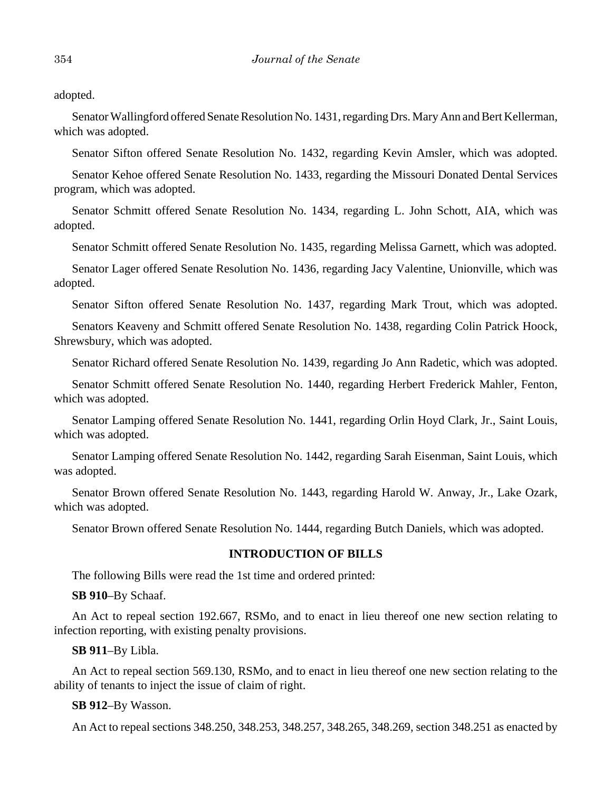adopted.

Senator Wallingford offered Senate Resolution No. 1431, regarding Drs. Mary Ann and Bert Kellerman, which was adopted.

Senator Sifton offered Senate Resolution No. 1432, regarding Kevin Amsler, which was adopted.

Senator Kehoe offered Senate Resolution No. 1433, regarding the Missouri Donated Dental Services program, which was adopted.

Senator Schmitt offered Senate Resolution No. 1434, regarding L. John Schott, AIA, which was adopted.

Senator Schmitt offered Senate Resolution No. 1435, regarding Melissa Garnett, which was adopted.

Senator Lager offered Senate Resolution No. 1436, regarding Jacy Valentine, Unionville, which was adopted.

Senator Sifton offered Senate Resolution No. 1437, regarding Mark Trout, which was adopted.

Senators Keaveny and Schmitt offered Senate Resolution No. 1438, regarding Colin Patrick Hoock, Shrewsbury, which was adopted.

Senator Richard offered Senate Resolution No. 1439, regarding Jo Ann Radetic, which was adopted.

Senator Schmitt offered Senate Resolution No. 1440, regarding Herbert Frederick Mahler, Fenton, which was adopted.

Senator Lamping offered Senate Resolution No. 1441, regarding Orlin Hoyd Clark, Jr., Saint Louis, which was adopted.

Senator Lamping offered Senate Resolution No. 1442, regarding Sarah Eisenman, Saint Louis, which was adopted.

Senator Brown offered Senate Resolution No. 1443, regarding Harold W. Anway, Jr., Lake Ozark, which was adopted.

Senator Brown offered Senate Resolution No. 1444, regarding Butch Daniels, which was adopted.

#### **INTRODUCTION OF BILLS**

The following Bills were read the 1st time and ordered printed:

#### **SB 910**–By Schaaf.

An Act to repeal section 192.667, RSMo, and to enact in lieu thereof one new section relating to infection reporting, with existing penalty provisions.

## **SB 911**–By Libla.

An Act to repeal section 569.130, RSMo, and to enact in lieu thereof one new section relating to the ability of tenants to inject the issue of claim of right.

#### **SB 912**–By Wasson.

An Act to repeal sections 348.250, 348.253, 348.257, 348.265, 348.269, section 348.251 as enacted by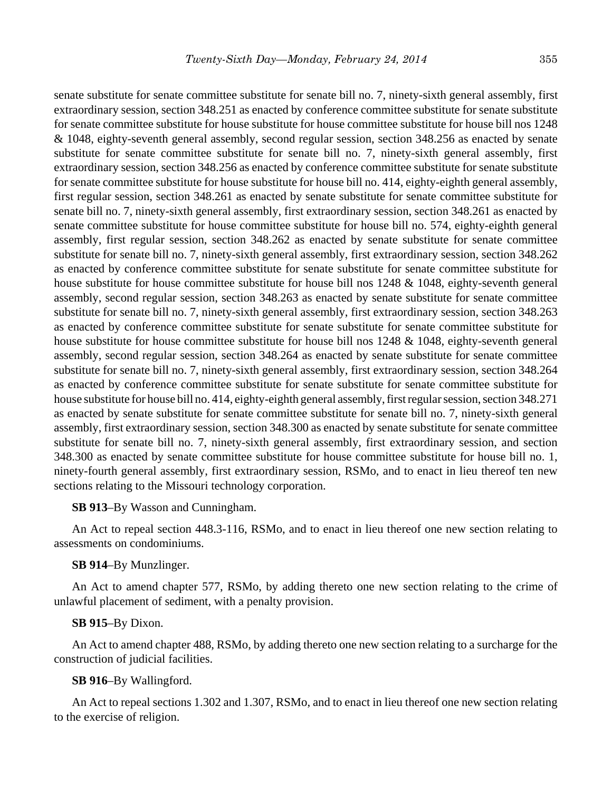senate substitute for senate committee substitute for senate bill no. 7, ninety-sixth general assembly, first extraordinary session, section 348.251 as enacted by conference committee substitute for senate substitute for senate committee substitute for house substitute for house committee substitute for house bill nos 1248 & 1048, eighty-seventh general assembly, second regular session, section 348.256 as enacted by senate substitute for senate committee substitute for senate bill no. 7, ninety-sixth general assembly, first extraordinary session, section 348.256 as enacted by conference committee substitute for senate substitute for senate committee substitute for house substitute for house bill no. 414, eighty-eighth general assembly, first regular session, section 348.261 as enacted by senate substitute for senate committee substitute for senate bill no. 7, ninety-sixth general assembly, first extraordinary session, section 348.261 as enacted by senate committee substitute for house committee substitute for house bill no. 574, eighty-eighth general assembly, first regular session, section 348.262 as enacted by senate substitute for senate committee substitute for senate bill no. 7, ninety-sixth general assembly, first extraordinary session, section 348.262 as enacted by conference committee substitute for senate substitute for senate committee substitute for house substitute for house committee substitute for house bill nos 1248 & 1048, eighty-seventh general assembly, second regular session, section 348.263 as enacted by senate substitute for senate committee substitute for senate bill no. 7, ninety-sixth general assembly, first extraordinary session, section 348.263 as enacted by conference committee substitute for senate substitute for senate committee substitute for house substitute for house committee substitute for house bill nos 1248 & 1048, eighty-seventh general assembly, second regular session, section 348.264 as enacted by senate substitute for senate committee substitute for senate bill no. 7, ninety-sixth general assembly, first extraordinary session, section 348.264 as enacted by conference committee substitute for senate substitute for senate committee substitute for house substitute for house bill no. 414, eighty-eighth general assembly, first regular session, section 348.271 as enacted by senate substitute for senate committee substitute for senate bill no. 7, ninety-sixth general assembly, first extraordinary session, section 348.300 as enacted by senate substitute for senate committee substitute for senate bill no. 7, ninety-sixth general assembly, first extraordinary session, and section 348.300 as enacted by senate committee substitute for house committee substitute for house bill no. 1, ninety-fourth general assembly, first extraordinary session, RSMo, and to enact in lieu thereof ten new sections relating to the Missouri technology corporation.

#### **SB 913**–By Wasson and Cunningham.

An Act to repeal section 448.3-116, RSMo, and to enact in lieu thereof one new section relating to assessments on condominiums.

#### **SB 914**–By Munzlinger.

An Act to amend chapter 577, RSMo, by adding thereto one new section relating to the crime of unlawful placement of sediment, with a penalty provision.

#### **SB 915**–By Dixon.

An Act to amend chapter 488, RSMo, by adding thereto one new section relating to a surcharge for the construction of judicial facilities.

#### **SB 916**–By Wallingford.

An Act to repeal sections 1.302 and 1.307, RSMo, and to enact in lieu thereof one new section relating to the exercise of religion.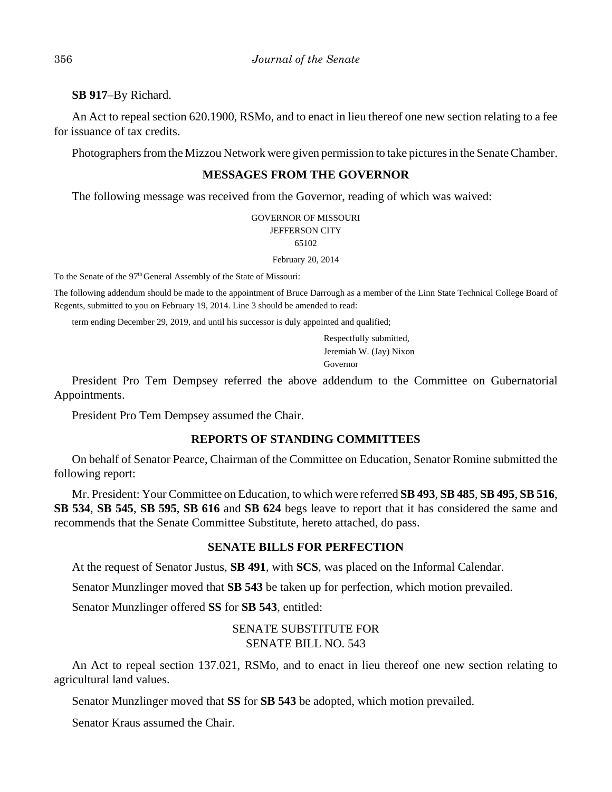**SB 917**–By Richard.

An Act to repeal section 620.1900, RSMo, and to enact in lieu thereof one new section relating to a fee for issuance of tax credits.

Photographers from the Mizzou Network were given permission to take pictures in the Senate Chamber.

# **MESSAGES FROM THE GOVERNOR**

The following message was received from the Governor, reading of which was waived:

GOVERNOR OF MISSOURI JEFFERSON CITY 65102

February 20, 2014

To the Senate of the 97<sup>th</sup> General Assembly of the State of Missouri:

The following addendum should be made to the appointment of Bruce Darrough as a member of the Linn State Technical College Board of Regents, submitted to you on February 19, 2014. Line 3 should be amended to read:

term ending December 29, 2019, and until his successor is duly appointed and qualified;

Respectfully submitted, Jeremiah W. (Jay) Nixon Governor

President Pro Tem Dempsey referred the above addendum to the Committee on Gubernatorial Appointments.

President Pro Tem Dempsey assumed the Chair.

## **REPORTS OF STANDING COMMITTEES**

On behalf of Senator Pearce, Chairman of the Committee on Education, Senator Romine submitted the following report:

Mr. President: Your Committee on Education, to which were referred **SB 493**, **SB 485**, **SB 495**, **SB 516**, **SB 534**, **SB 545**, **SB 595**, **SB 616** and **SB 624** begs leave to report that it has considered the same and recommends that the Senate Committee Substitute, hereto attached, do pass.

## **SENATE BILLS FOR PERFECTION**

At the request of Senator Justus, **SB 491**, with **SCS**, was placed on the Informal Calendar.

Senator Munzlinger moved that **SB 543** be taken up for perfection, which motion prevailed.

Senator Munzlinger offered **SS** for **SB 543**, entitled:

# SENATE SUBSTITUTE FOR SENATE BILL NO. 543

An Act to repeal section 137.021, RSMo, and to enact in lieu thereof one new section relating to agricultural land values.

Senator Munzlinger moved that **SS** for **SB 543** be adopted, which motion prevailed.

Senator Kraus assumed the Chair.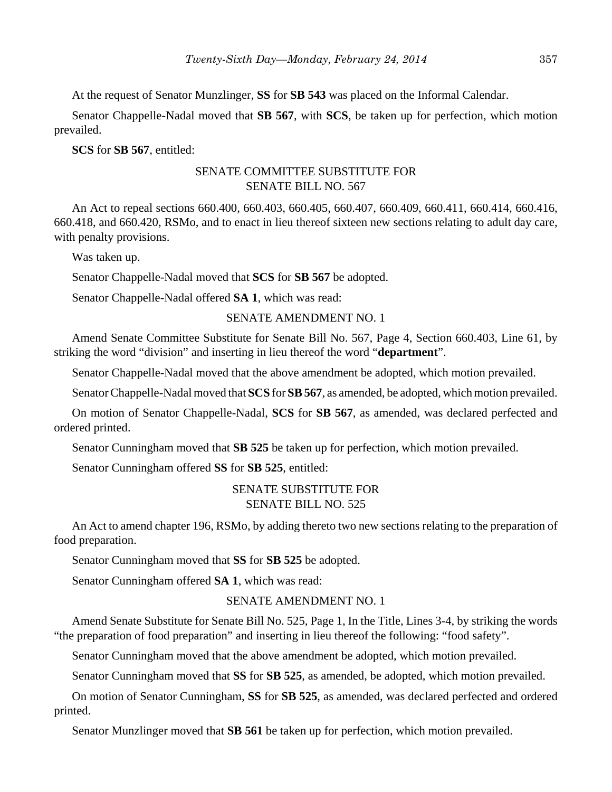At the request of Senator Munzlinger, **SS** for **SB 543** was placed on the Informal Calendar.

Senator Chappelle-Nadal moved that **SB 567**, with **SCS**, be taken up for perfection, which motion prevailed.

#### **SCS** for **SB 567**, entitled:

# SENATE COMMITTEE SUBSTITUTE FOR SENATE BILL NO. 567

An Act to repeal sections 660.400, 660.403, 660.405, 660.407, 660.409, 660.411, 660.414, 660.416, 660.418, and 660.420, RSMo, and to enact in lieu thereof sixteen new sections relating to adult day care, with penalty provisions.

Was taken up.

Senator Chappelle-Nadal moved that **SCS** for **SB 567** be adopted.

Senator Chappelle-Nadal offered **SA 1**, which was read:

## SENATE AMENDMENT NO. 1

Amend Senate Committee Substitute for Senate Bill No. 567, Page 4, Section 660.403, Line 61, by striking the word "division" and inserting in lieu thereof the word "**department**".

Senator Chappelle-Nadal moved that the above amendment be adopted, which motion prevailed.

Senator Chappelle-Nadal moved that **SCS** for **SB 567**, as amended, be adopted, which motion prevailed.

On motion of Senator Chappelle-Nadal, **SCS** for **SB 567**, as amended, was declared perfected and ordered printed.

Senator Cunningham moved that **SB 525** be taken up for perfection, which motion prevailed.

Senator Cunningham offered **SS** for **SB 525**, entitled:

# SENATE SUBSTITUTE FOR SENATE BILL NO. 525

An Act to amend chapter 196, RSMo, by adding thereto two new sections relating to the preparation of food preparation.

Senator Cunningham moved that **SS** for **SB 525** be adopted.

Senator Cunningham offered **SA 1**, which was read:

## SENATE AMENDMENT NO. 1

Amend Senate Substitute for Senate Bill No. 525, Page 1, In the Title, Lines 3-4, by striking the words "the preparation of food preparation" and inserting in lieu thereof the following: "food safety".

Senator Cunningham moved that the above amendment be adopted, which motion prevailed.

Senator Cunningham moved that **SS** for **SB 525**, as amended, be adopted, which motion prevailed.

On motion of Senator Cunningham, **SS** for **SB 525**, as amended, was declared perfected and ordered printed.

Senator Munzlinger moved that **SB 561** be taken up for perfection, which motion prevailed.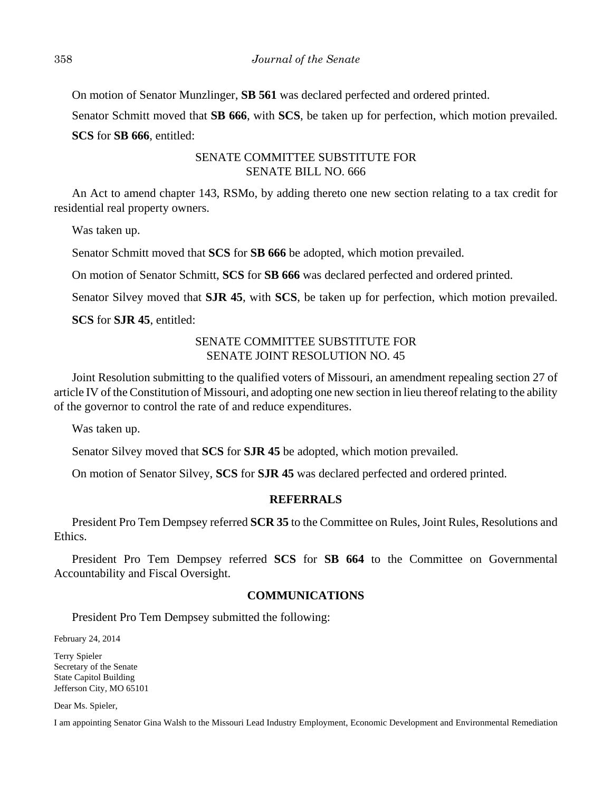On motion of Senator Munzlinger, **SB 561** was declared perfected and ordered printed.

Senator Schmitt moved that **SB 666**, with **SCS**, be taken up for perfection, which motion prevailed. **SCS** for **SB 666**, entitled:

# SENATE COMMITTEE SUBSTITUTE FOR SENATE BILL NO. 666

An Act to amend chapter 143, RSMo, by adding thereto one new section relating to a tax credit for residential real property owners.

Was taken up.

Senator Schmitt moved that **SCS** for **SB 666** be adopted, which motion prevailed.

On motion of Senator Schmitt, **SCS** for **SB 666** was declared perfected and ordered printed.

Senator Silvey moved that **SJR 45**, with **SCS**, be taken up for perfection, which motion prevailed.

**SCS** for **SJR 45**, entitled:

# SENATE COMMITTEE SUBSTITUTE FOR SENATE JOINT RESOLUTION NO. 45

Joint Resolution submitting to the qualified voters of Missouri, an amendment repealing section 27 of article IV of the Constitution of Missouri, and adopting one new section in lieu thereof relating to the ability of the governor to control the rate of and reduce expenditures.

Was taken up.

Senator Silvey moved that **SCS** for **SJR 45** be adopted, which motion prevailed.

On motion of Senator Silvey, **SCS** for **SJR 45** was declared perfected and ordered printed.

# **REFERRALS**

President Pro Tem Dempsey referred **SCR 35** to the Committee on Rules, Joint Rules, Resolutions and Ethics.

President Pro Tem Dempsey referred **SCS** for **SB 664** to the Committee on Governmental Accountability and Fiscal Oversight.

# **COMMUNICATIONS**

President Pro Tem Dempsey submitted the following:

February 24, 2014

Terry Spieler Secretary of the Senate State Capitol Building Jefferson City, MO 65101

Dear Ms. Spieler,

I am appointing Senator Gina Walsh to the Missouri Lead Industry Employment, Economic Development and Environmental Remediation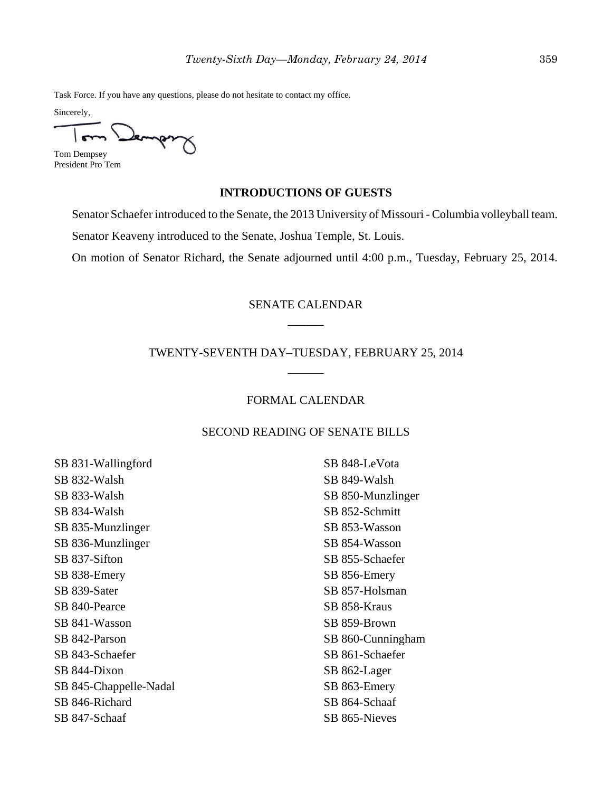Task Force. If you have any questions, please do not hesitate to contact my office.

Sincerely,

Lemps Tom Dempsey

President Pro Tem

### **INTRODUCTIONS OF GUESTS**

Senator Schaefer introduced to the Senate, the 2013 University of Missouri - Columbia volleyball team.

Senator Keaveny introduced to the Senate, Joshua Temple, St. Louis.

On motion of Senator Richard, the Senate adjourned until 4:00 p.m., Tuesday, February 25, 2014.

# SENATE CALENDAR \_\_\_\_\_\_

# TWENTY-SEVENTH DAY–TUESDAY, FEBRUARY 25, 2014 \_\_\_\_\_\_

## FORMAL CALENDAR

## SECOND READING OF SENATE BILLS

SB 831-Wallingford SB 832-Walsh SB 833-Walsh SB 834-Walsh SB 835-Munzlinger SB 836-Munzlinger SB 837-Sifton SB 838-Emery SB 839-Sater SB 840-Pearce SB 841-Wasson SB 842-Parson SB 843-Schaefer SB 844-Dixon SB 845-Chappelle-Nadal SB 846-Richard SB 847-Schaaf

SB 848-LeVota SB 849-Walsh SB 850-Munzlinger SB 852-Schmitt SB 853-Wasson SB 854-Wasson SB 855-Schaefer SB 856-Emery SB 857-Holsman SB 858-Kraus SB 859-Brown SB 860-Cunningham SB 861-Schaefer SB 862-Lager SB 863-Emery SB 864-Schaaf SB 865-Nieves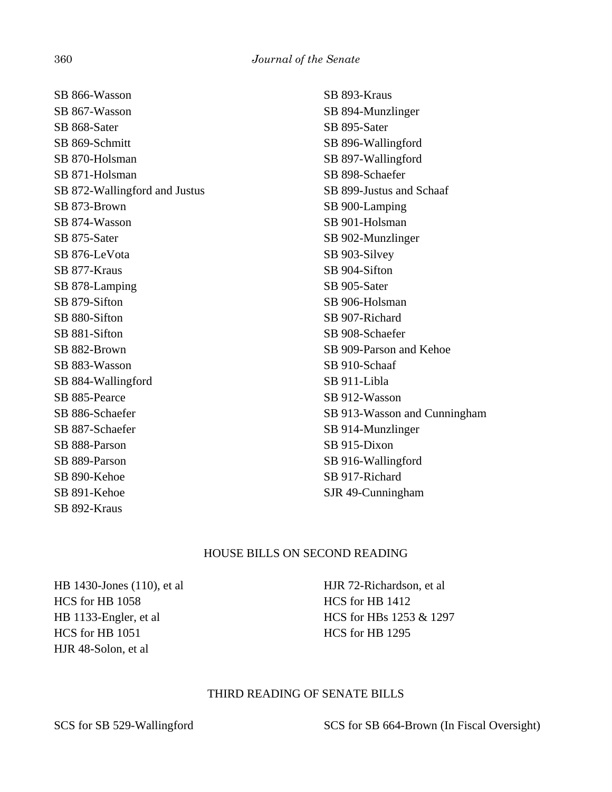SB 866-Wasson SB 867-Wasson SB 868-Sater SB 869-Schmitt SB 870-Holsman SB 871-Holsman SB 872-Wallingford and Justus SB 873-Brown SB 874-Wasson SB 875-Sater SB 876-LeVota SB 877-Kraus SB 878-Lamping SB 879-Sifton SB 880-Sifton SB 881-Sifton SB 882-Brown SB 883-Wasson SB 884-Wallingford SB 885-Pearce SB 886-Schaefer SB 887-Schaefer SB 888-Parson SB 889-Parson SB 890-Kehoe SB 891-Kehoe SB 892-Kraus

SB 893-Kraus SB 894-Munzlinger SB 895-Sater SB 896-Wallingford SB 897-Wallingford SB 898-Schaefer SB 899-Justus and Schaaf SB 900-Lamping SB 901-Holsman SB 902-Munzlinger SB 903-Silvey SB 904-Sifton SB 905-Sater SB 906-Holsman SB 907-Richard SB 908-Schaefer SB 909-Parson and Kehoe SB 910-Schaaf SB 911-Libla SB 912-Wasson SB 913-Wasson and Cunningham SB 914-Munzlinger SB 915-Dixon SB 916-Wallingford SB 917-Richard SJR 49-Cunningham

## HOUSE BILLS ON SECOND READING

HB 1430-Jones (110), et al HCS for HB 1058 HB 1133-Engler, et al HCS for HB 1051 HJR 48-Solon, et al

HJR 72-Richardson, et al HCS for HB 1412 HCS for HBs 1253 & 1297 HCS for HB 1295

## THIRD READING OF SENATE BILLS

SCS for SB 529-Wallingford SCS for SB 664-Brown (In Fiscal Oversight)